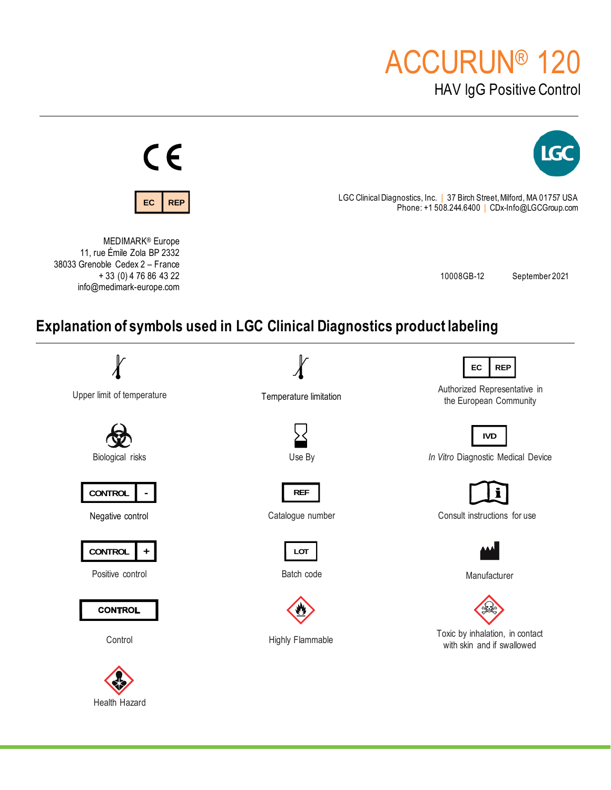# ACCURUN® 120

HAV lgG Positive Control



Health Hazard